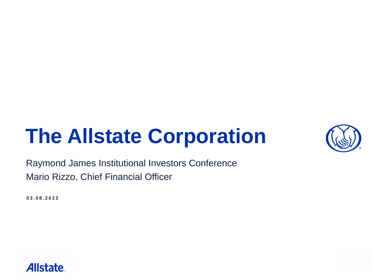# **The Allstate Corporation**



Raymond James Institutional Investors Conference Mario Rizzo, Chief Financial Officer

**0 3 . 0 8 . 2 0 2 2**

#### Allstate.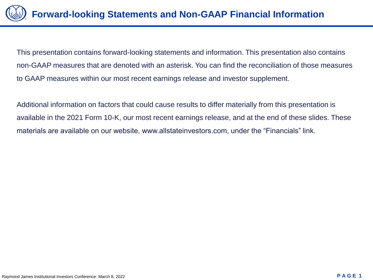This presentation contains forward-looking statements and information. This presentation also contains non-GAAP measures that are denoted with an asterisk. You can find the reconciliation of those measures to GAAP measures within our most recent earnings release and investor supplement.

Additional information on factors that could cause results to differ materially from this presentation is available in the 2021 Form 10-K, our most recent earnings release, and at the end of these slides. These materials are available on our website, www.allstateinvestors.com, under the "Financials" link.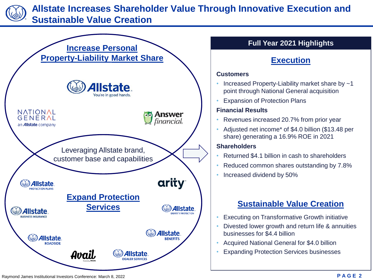

**Allstate Increases Shareholder Value Through Innovative Execution and Sustainable Value Creation**

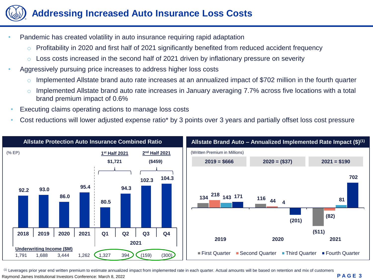## **Addressing Increased Auto Insurance Loss Costs**

- Pandemic has created volatility in auto insurance requiring rapid adaptation
	- o Profitability in 2020 and first half of 2021 significantly benefited from reduced accident frequency
	- $\circ$  Loss costs increased in the second half of 2021 driven by inflationary pressure on severity
- Aggressively pursuing price increases to address higher loss costs
	- o Implemented Allstate brand auto rate increases at an annualized impact of \$702 million in the fourth quarter
	- o Implemented Allstate brand auto rate increases in January averaging 7.7% across five locations with a total brand premium impact of 0.6%
- Executing claims operating actions to manage loss costs
- Cost reductions will lower adjusted expense ratio\* by 3 points over 3 years and partially offset loss cost pressure



Raymond James Institutional Investors Conference: March 8, 2022 **P A G E 3** (1) Leverages prior year end written premium to estimate annualized impact from implemented rate in each quarter. Actual amounts will be based on retention and mix of customers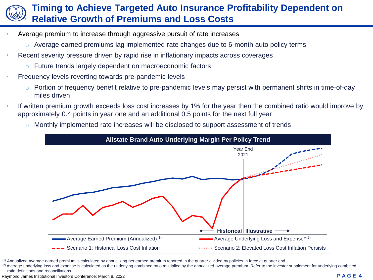

#### **Timing to Achieve Targeted Auto Insurance Profitability Dependent on Relative Growth of Premiums and Loss Costs**

- Average premium to increase through aggressive pursuit of rate increases
	- o Average earned premiums lag implemented rate changes due to 6-month auto policy terms
- Recent severity pressure driven by rapid rise in inflationary impacts across coverages
	- Future trends largely dependent on macroeconomic factors
- Frequency levels reverting towards pre-pandemic levels
	- Portion of frequency benefit relative to pre-pandemic levels may persist with permanent shifts in time-of-day miles driven
- If written premium growth exceeds loss cost increases by 1% for the year then the combined ratio would improve by approximately 0.4 points in year one and an additional 0.5 points for the next full year





(1) Annualized average earned premium is calculated by annualizing net earned premium reported in the quarter divided by policies in force at quarter end

(2) Average underlying loss and expense is calculated as the underlying combined ratio multiplied by the annualized average premium. Refer to the investor supplement for underlying combined ratio definitions and reconciliations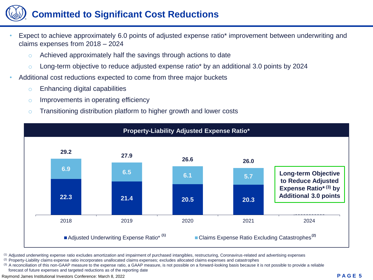# **Committed to Significant Cost Reductions**

- Expect to achieve approximately 6.0 points of adjusted expense ratio\* improvement between underwriting and claims expenses from 2018 – 2024
	- o Achieved approximately half the savings through actions to date
	- o Long-term objective to reduce adjusted expense ratio\* by an additional 3.0 points by 2024
- Additional cost reductions expected to come from three major buckets
	- $\circ$  Enhancing digital capabilities
	- o Improvements in operating efficiency
	- o Transitioning distribution platform to higher growth and lower costs



- (1) Adjusted underwriting expense ratio excludes amortization and impairment of purchased intangibles, restructuring, Coronavirus-related and advertising expenses
- (2) Property-Liability claims expense ratio incorporates unallocated claims expenses; excludes allocated claims expenses and catastrophes
- (3) A reconciliation of this non-GAAP measure to the expense ratio, a GAAP measure, is not possible on a forward-looking basis because it is not possible to provide a reliable forecast of future expenses and targeted reductions as of the reporting date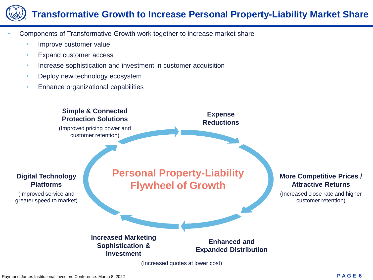### **Transformative Growth to Increase Personal Property-Liability Market Share**

- Components of Transformative Growth work together to increase market share
	- Improve customer value
	- Expand customer access
	- Increase sophistication and investment in customer acquisition
	- Deploy new technology ecosystem
	- Enhance organizational capabilities

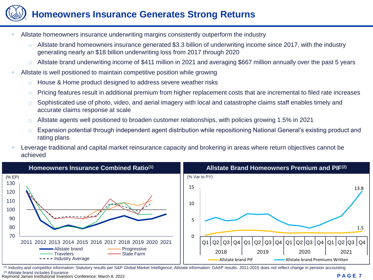# **Homeowners Insurance Generates Strong Returns**

- Allstate homeowners insurance underwriting margins consistently outperform the industry
	- $\circ$  Allstate brand homeowners insurance generated \$3.3 billion of underwriting income since 2017, with the industry generating nearly an \$18 billion underwriting loss from 2017 through 2020
	- o Allstate brand underwriting income of \$411 million in 2021 and averaging \$667 million annually over the past 5 years
- Allstate is well positioned to maintain competitive position while growing
	- o House & Home product designed to address severe weather risks
	- $\circ$  Pricing features result in additional premium from higher replacement costs that are incremental to filed rate increases
	- o Sophisticated use of photo, video, and aerial imagery with local and catastrophe claims staff enables timely and accurate claims response at scale
	- o Allstate agents well positioned to broaden customer relationships, with policies growing 1.5% in 2021
	- o Expansion potential through independent agent distribution while repositioning National General's existing product and rating plans
- Leverage traditional and capital market reinsurance capacity and brokering in areas where return objectives cannot be achieved



(1) Industry and competitor information: Statutory results per S&P Global Market Intelligence; Allstate information: GAAP results. 2011-2015 does not reflect change in pension accounting (2) Allstate brand includes Esurance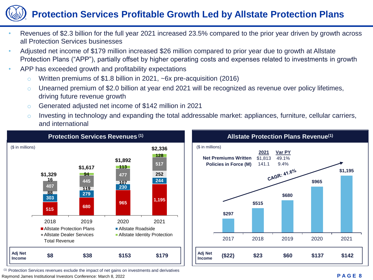## **Protection Services Profitable Growth Led by Allstate Protection Plans**

- Revenues of \$2.3 billion for the full year 2021 increased 23.5% compared to the prior year driven by growth across all Protection Services businesses
- Adjusted net income of \$179 million increased \$26 million compared to prior year due to growth at Allstate Protection Plans ("APP"), partially offset by higher operating costs and expenses related to investments in growth
- APP has exceeded growth and profitability expectations
	- o Written premiums of \$1.8 billion in 2021, ~6x pre-acquisition (2016)
	- $\circ$  Unearned premium of \$2.0 billion at year end 2021 will be recognized as revenue over policy lifetimes, driving future revenue growth
	- o Generated adjusted net income of \$142 million in 2021
	- $\circ$  Investing in technology and expanding the total addressable market: appliances, furniture, cellular carriers, and international



Raymond James Institutional Investors Conference: March 8, 2022 **P A G E 8** (1) Protection Services revenues exclude the impact of net gains on investments and derivatives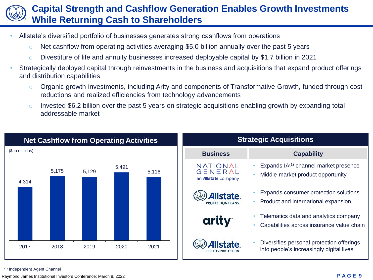

#### **Capital Strength and Cashflow Generation Enables Growth Investments While Returning Cash to Shareholders**

- Allstate's diversified portfolio of businesses generates strong cashflows from operations
	- $\circ$  Net cashflow from operating activities averaging \$5.0 billion annually over the past 5 years
	- o Divestiture of life and annuity businesses increased deployable capital by \$1.7 billion in 2021
- Strategically deployed capital through reinvestments in the business and acquisitions that expand product offerings and distribution capabilities
	- o Organic growth investments, including Arity and components of Transformative Growth, funded through cost reductions and realized efficiencies from technology advancements
	- o Invested \$6.2 billion over the past 5 years on strategic acquisitions enabling growth by expanding total addressable market



(1) Independent Agent Channel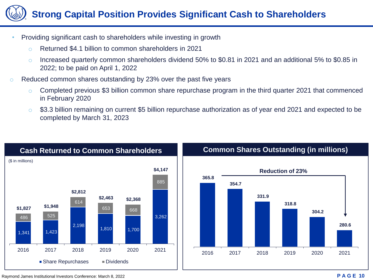**Strong Capital Position Provides Significant Cash to Shareholders**

- Providing significant cash to shareholders while investing in growth
	- o Returned \$4.1 billion to common shareholders in 2021
	- $\circ$  Increased quarterly common shareholders dividend 50% to \$0.81 in 2021 and an additional 5% to \$0.85 in 2022; to be paid on April 1, 2022
- o Reduced common shares outstanding by 23% over the past five years
	- o Completed previous \$3 billion common share repurchase program in the third quarter 2021 that commenced in February 2020
	- \$3.3 billion remaining on current \$5 billion repurchase authorization as of year end 2021 and expected to be completed by March 31, 2023





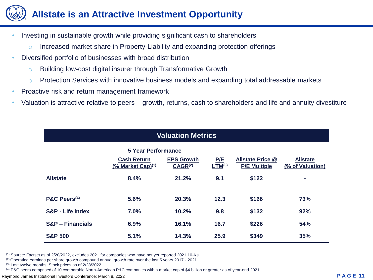# **Allstate is an Attractive Investment Opportunity**

- Investing in sustainable growth while providing significant cash to shareholders
	- o Increased market share in Property-Liability and expanding protection offerings
- Diversified portfolio of businesses with broad distribution
	- o Building low-cost digital insurer through Transformative Growth
	- o Protection Services with innovative business models and expanding total addressable markets
- Proactive risk and return management framework
- Valuation is attractive relative to peers growth, returns, cash to shareholders and life and annuity divestiture

| <b>Valuation Metrics</b>    |                                                     |                                          |                    |                                                |                                     |
|-----------------------------|-----------------------------------------------------|------------------------------------------|--------------------|------------------------------------------------|-------------------------------------|
|                             | <b>5 Year Performance</b>                           |                                          |                    |                                                |                                     |
|                             | <b>Cash Return</b><br>(% Market Cap) <sup>(1)</sup> | <b>EPS Growth</b><br>CAGR <sup>(2)</sup> | P/E<br>$LTM^{(3)}$ | <b>Allstate Price @</b><br><b>P/E Multiple</b> | <b>Allstate</b><br>(% of Valuation) |
| <b>Allstate</b>             | 8.4%                                                | 21.2%                                    | 9.1                | \$122                                          | ٠                                   |
| P&C Peers <sup>(4)</sup>    | 5.6%                                                | 20.3%                                    | 12.3               | \$166                                          | 73%                                 |
| <b>S&amp;P</b> - Life Index | 7.0%                                                | 10.2%                                    | 9.8                | \$132                                          | 92%                                 |
| <b>S&amp;P - Financials</b> | 6.9%                                                | 16.1%                                    | 16.7               | \$226                                          | 54%                                 |
| <b>S&amp;P 500</b>          | 5.1%                                                | 14.3%                                    | 25.9               | \$349                                          | 35%                                 |

(1) Source: Factset as of 2/28/2022, excludes 2021 for companies who have not yet reported 2021 10-Ks

 $(2)$  Operating earnings per share growth compound annual growth rate over the last 5 years 2017 - 2021

(3) Last twelve months; Stock prices as of 2/28/2022

(4) P&C peers comprised of 10 comparable North-American P&C companies with a market cap of \$4 billion or greater as of year-end 2021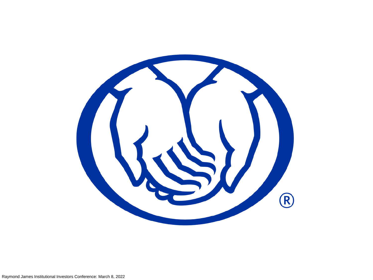